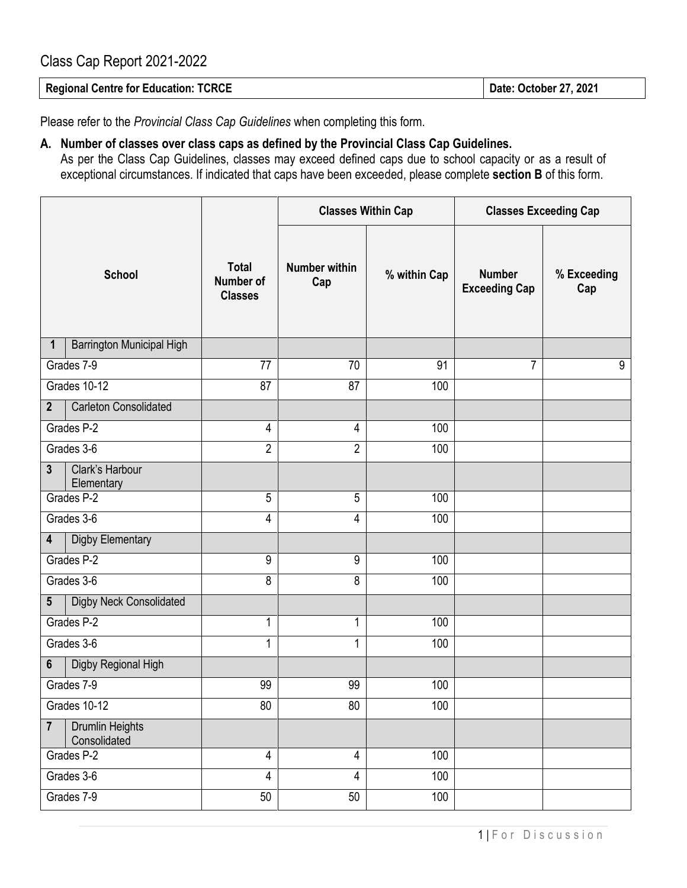## Class Cap Report 2021-2022

Please refer to the *Provincial Class Cap Guidelines* when completing this form.

## **A. Number of classes over class caps as defined by the Provincial Class Cap Guidelines.**

As per the Class Cap Guidelines, classes may exceed defined caps due to school capacity or as a result of exceptional circumstances. If indicated that caps have been exceeded, please complete **section B** of this form.

|                                                          |                                             | <b>Classes Within Cap</b>   |              | <b>Classes Exceeding Cap</b>          |                    |
|----------------------------------------------------------|---------------------------------------------|-----------------------------|--------------|---------------------------------------|--------------------|
| <b>School</b>                                            | <b>Total</b><br>Number of<br><b>Classes</b> | <b>Number within</b><br>Cap | % within Cap | <b>Number</b><br><b>Exceeding Cap</b> | % Exceeding<br>Cap |
| Barrington Municipal High<br>1                           |                                             |                             |              |                                       |                    |
| Grades 7-9                                               | 77                                          | 70                          | 91           | $\overline{7}$                        | $9\,$              |
| Grades 10-12                                             | 87                                          | 87                          | 100          |                                       |                    |
| <b>Carleton Consolidated</b><br>$\mathbf{2}$             |                                             |                             |              |                                       |                    |
| Grades P-2                                               | 4                                           | 4                           | 100          |                                       |                    |
| Grades 3-6                                               | $\overline{2}$                              | $\overline{2}$              | 100          |                                       |                    |
| Clark's Harbour<br>$\mathbf{3}$<br>Elementary            |                                             |                             |              |                                       |                    |
| Grades P-2                                               | 5                                           | 5                           | 100          |                                       |                    |
| Grades 3-6                                               | 4                                           | 4                           | 100          |                                       |                    |
| Digby Elementary<br>4                                    |                                             |                             |              |                                       |                    |
| Grades P-2                                               | 9                                           | 9                           | 100          |                                       |                    |
| Grades 3-6                                               | 8                                           | 8                           | 100          |                                       |                    |
| Digby Neck Consolidated<br>$5\phantom{.0}$               |                                             |                             |              |                                       |                    |
| Grades P-2                                               | 1                                           | 1                           | 100          |                                       |                    |
| Grades 3-6                                               | 1                                           | 1                           | 100          |                                       |                    |
| Digby Regional High<br>6                                 |                                             |                             |              |                                       |                    |
| Grades 7-9                                               | 99                                          | 99                          | 100          |                                       |                    |
| Grades 10-12                                             | 80                                          | 80                          | 100          |                                       |                    |
| <b>Drumlin Heights</b><br>$\overline{7}$<br>Consolidated |                                             |                             |              |                                       |                    |
| Grades P-2                                               | 4                                           | 4                           | 100          |                                       |                    |
| Grades 3-6                                               | 4                                           | 4                           | 100          |                                       |                    |
| Grades 7-9                                               | 50                                          | 50                          | 100          |                                       |                    |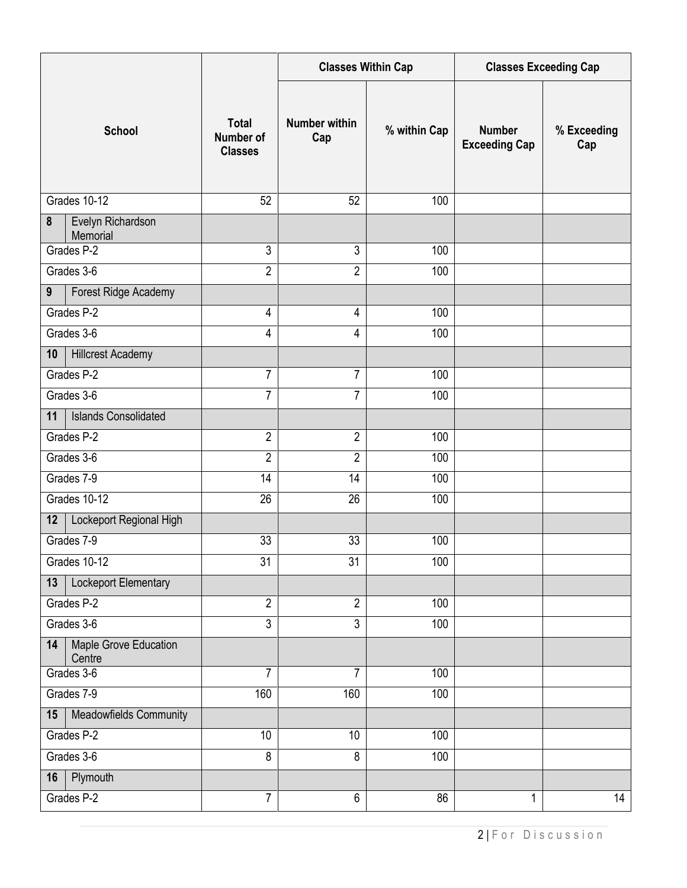|                                       |                                             | <b>Classes Within Cap</b>   |              | <b>Classes Exceeding Cap</b>          |                    |
|---------------------------------------|---------------------------------------------|-----------------------------|--------------|---------------------------------------|--------------------|
| <b>School</b>                         | <b>Total</b><br>Number of<br><b>Classes</b> | <b>Number within</b><br>Cap | % within Cap | <b>Number</b><br><b>Exceeding Cap</b> | % Exceeding<br>Cap |
| Grades 10-12                          | 52                                          | 52                          | 100          |                                       |                    |
| 8<br>Evelyn Richardson<br>Memorial    |                                             |                             |              |                                       |                    |
| Grades P-2                            | $\mathfrak{Z}$                              | 3                           | 100          |                                       |                    |
| Grades 3-6                            | $\overline{2}$                              | $\overline{2}$              | 100          |                                       |                    |
| Forest Ridge Academy<br>9             |                                             |                             |              |                                       |                    |
| Grades P-2                            | 4                                           | 4                           | 100          |                                       |                    |
| Grades 3-6                            | 4                                           | 4                           | 100          |                                       |                    |
| <b>Hillcrest Academy</b><br>10        |                                             |                             |              |                                       |                    |
| Grades P-2                            | 7                                           | $\overline{7}$              | 100          |                                       |                    |
| Grades 3-6                            | $\overline{7}$                              | $\overline{7}$              | 100          |                                       |                    |
| <b>Islands Consolidated</b><br>11     |                                             |                             |              |                                       |                    |
| Grades P-2                            | $\overline{2}$                              | $\overline{2}$              | 100          |                                       |                    |
| Grades 3-6                            | $\overline{2}$                              | $\overline{2}$              | 100          |                                       |                    |
| Grades 7-9                            | 14                                          | 14                          | 100          |                                       |                    |
| Grades 10-12                          | 26                                          | 26                          | 100          |                                       |                    |
| Lockeport Regional High<br>12         |                                             |                             |              |                                       |                    |
| Grades 7-9                            | 33                                          | 33                          | 100          |                                       |                    |
| Grades 10-12                          | 31                                          | 31                          | 100          |                                       |                    |
| Lockeport Elementary<br>13            |                                             |                             |              |                                       |                    |
| Grades P-2                            | $\overline{2}$                              | $\overline{2}$              | 100          |                                       |                    |
| Grades 3-6                            | $\overline{3}$                              | $\overline{3}$              | 100          |                                       |                    |
| Maple Grove Education<br>14<br>Centre |                                             |                             |              |                                       |                    |
| Grades 3-6                            | 7                                           | $\overline{7}$              | 100          |                                       |                    |
| Grades 7-9                            | 160                                         | 160                         | 100          |                                       |                    |
| Meadowfields Community<br>15          |                                             |                             |              |                                       |                    |
| Grades P-2                            | 10                                          | 10                          | 100          |                                       |                    |
| Grades 3-6                            | 8                                           | 8                           | 100          |                                       |                    |
| Plymouth<br>16                        |                                             |                             |              |                                       |                    |
| Grades P-2                            | $\overline{7}$                              | $\overline{6}$              | 86           | $\mathbf 1$                           | 14                 |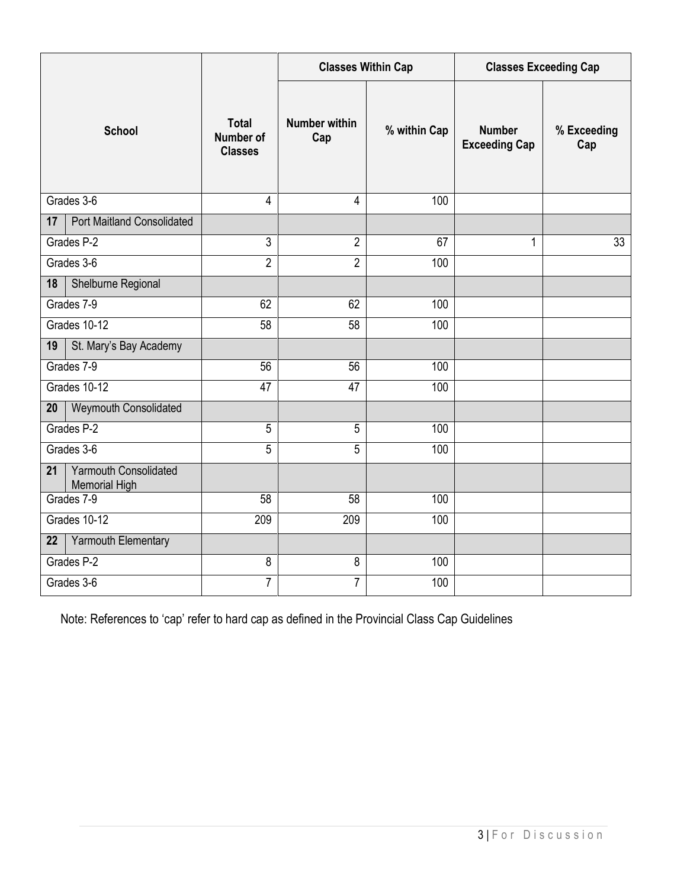|                                                            |                                                    | <b>Classes Within Cap</b>   |              | <b>Classes Exceeding Cap</b>          |                    |
|------------------------------------------------------------|----------------------------------------------------|-----------------------------|--------------|---------------------------------------|--------------------|
| <b>School</b>                                              | <b>Total</b><br><b>Number of</b><br><b>Classes</b> | <b>Number within</b><br>Cap | % within Cap | <b>Number</b><br><b>Exceeding Cap</b> | % Exceeding<br>Cap |
| Grades 3-6                                                 | $\overline{4}$                                     | 4                           | 100          |                                       |                    |
| <b>Port Maitland Consolidated</b><br>17                    |                                                    |                             |              |                                       |                    |
| Grades P-2                                                 | 3                                                  | $\overline{2}$              | 67           | 1                                     | 33                 |
| Grades 3-6                                                 | $\overline{2}$                                     | $\overline{2}$              | 100          |                                       |                    |
| Shelburne Regional<br>18                                   |                                                    |                             |              |                                       |                    |
| Grades 7-9                                                 | 62                                                 | 62                          | 100          |                                       |                    |
| Grades 10-12                                               | $\overline{58}$                                    | $\overline{58}$             | 100          |                                       |                    |
| St. Mary's Bay Academy<br>19                               |                                                    |                             |              |                                       |                    |
| Grades 7-9                                                 | 56                                                 | 56                          | 100          |                                       |                    |
| Grades 10-12                                               | 47                                                 | $\overline{47}$             | 100          |                                       |                    |
| Weymouth Consolidated<br>20                                |                                                    |                             |              |                                       |                    |
| Grades P-2                                                 | 5                                                  | 5                           | 100          |                                       |                    |
| Grades 3-6                                                 | $\overline{5}$                                     | 5                           | 100          |                                       |                    |
| <b>Yarmouth Consolidated</b><br>21<br><b>Memorial High</b> |                                                    |                             |              |                                       |                    |
| Grades 7-9                                                 | 58                                                 | 58                          | 100          |                                       |                    |
| Grades 10-12                                               | 209                                                | 209                         | 100          |                                       |                    |
| Yarmouth Elementary<br>22                                  |                                                    |                             |              |                                       |                    |
| Grades P-2                                                 | 8                                                  | 8                           | 100          |                                       |                    |
| Grades 3-6                                                 | 7                                                  | $\overline{7}$              | 100          |                                       |                    |

Note: References to 'cap' refer to hard cap as defined in the Provincial Class Cap Guidelines